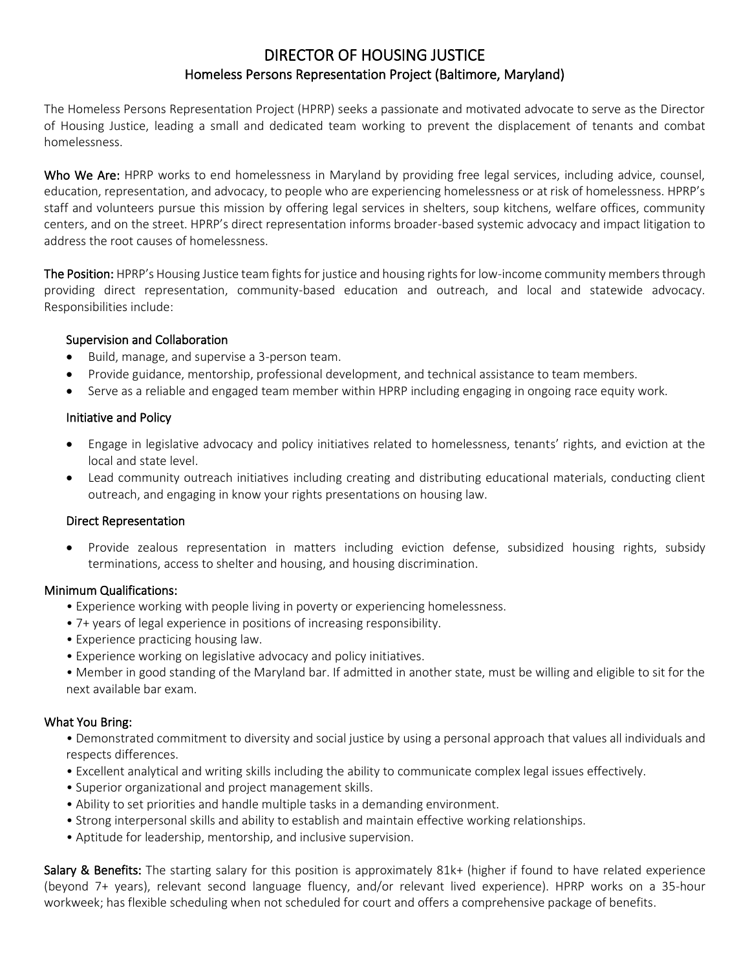# DIRECTOR OF HOUSING JUSTICE Homeless Persons Representation Project (Baltimore, Maryland)

The Homeless Persons Representation Project (HPRP) seeks a passionate and motivated advocate to serve as the Director of Housing Justice, leading a small and dedicated team working to prevent the displacement of tenants and combat homelessness.

Who We Are: HPRP works to end homelessness in Maryland by providing free legal services, including advice, counsel, education, representation, and advocacy, to people who are experiencing homelessness or at risk of homelessness. HPRP's staff and volunteers pursue this mission by offering legal services in shelters, soup kitchens, welfare offices, community centers, and on the street. HPRP's direct representation informs broader-based systemic advocacy and impact litigation to address the root causes of homelessness.

The Position: HPRP's Housing Justice team fights for justice and housing rights for low-income community members through providing direct representation, community-based education and outreach, and local and statewide advocacy. Responsibilities include:

## Supervision and Collaboration

- Build, manage, and supervise a 3-person team.
- Provide guidance, mentorship, professional development, and technical assistance to team members.
- Serve as a reliable and engaged team member within HPRP including engaging in ongoing race equity work.

## Initiative and Policy

- Engage in legislative advocacy and policy initiatives related to homelessness, tenants' rights, and eviction at the local and state level.
- Lead community outreach initiatives including creating and distributing educational materials, conducting client outreach, and engaging in know your rights presentations on housing law.

#### Direct Representation

• Provide zealous representation in matters including eviction defense, subsidized housing rights, subsidy terminations, access to shelter and housing, and housing discrimination.

#### Minimum Qualifications:

- Experience working with people living in poverty or experiencing homelessness.
- 7+ years of legal experience in positions of increasing responsibility.
- Experience practicing housing law.
- Experience working on legislative advocacy and policy initiatives.
- Member in good standing of the Maryland bar. If admitted in another state, must be willing and eligible to sit for the next available bar exam.

# What You Bring:

- Demonstrated commitment to diversity and social justice by using a personal approach that values all individuals and respects differences.
- Excellent analytical and writing skills including the ability to communicate complex legal issues effectively.
- Superior organizational and project management skills.
- Ability to set priorities and handle multiple tasks in a demanding environment.
- Strong interpersonal skills and ability to establish and maintain effective working relationships.
- Aptitude for leadership, mentorship, and inclusive supervision.

Salary & Benefits: The starting salary for this position is approximately 81k+ (higher if found to have related experience (beyond 7+ years), relevant second language fluency, and/or relevant lived experience). HPRP works on a 35-hour workweek; has flexible scheduling when not scheduled for court and offers a comprehensive package of benefits.